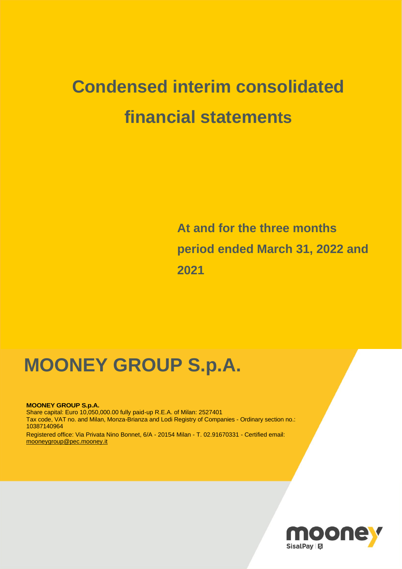# **Condensed interim consolidated financial statements**

 **At and for the three months period ended March 31, 2022 and 2021**

## **MOONEY GROUP S.p.A.**

**MOONEY GROUP S.p.A.** Share capital: Euro 10,050,000.00 fully paid-up R.E.A. of Milan: 2527401 Tax code, VAT no. and Milan, Monza-Brianza and Lodi Registry of Companies - Ordinary section no.: 10387140964 Registered office: Via Privata Nino Bonnet, 6/A - 20154 Milan - T. 02.91670331 - Certified email: [mooneygroup@pec.mooney.it](mailto:mooneygroup@pec.mooney.it)

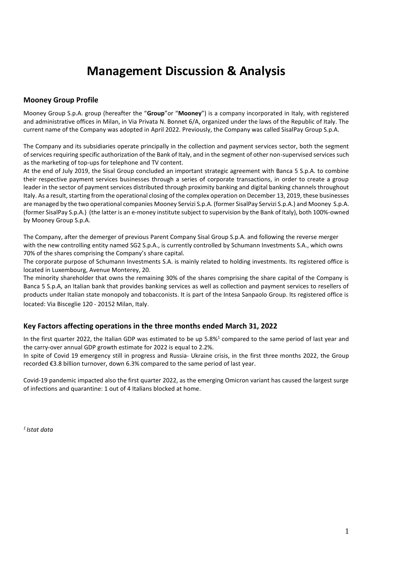### **Management Discussion & Analysis**

#### **Mooney Group Profile**

Mooney Group S.p.A. group (hereafter the "**Group**"or "**Mooney**") is a company incorporated in Italy, with registered and administrative offices in Milan, in Via Privata N. Bonnet 6/A, organized under the laws of the Republic of Italy. The current name of the Company was adopted in April 2022. Previously, the Company was called SisalPay Group S.p.A.

The Company and its subsidiaries operate principally in the collection and payment services sector, both the segment of services requiring specific authorization of the Bank of Italy, and in the segment of other non-supervised services such as the marketing of top-ups for telephone and TV content.

At the end of July 2019, the Sisal Group concluded an important strategic agreement with Banca 5 S.p.A. to combine their respective payment services businesses through a series of corporate transactions, in order to create a group leader in the sector of payment services distributed through proximity banking and digital banking channels throughout Italy. As a result, starting from the operational closing of the complex operation on December 13, 2019, these businesses are managed by the two operational companies Mooney Servizi S.p.A. (former SisalPay Servizi S.p.A.) and Mooney S.p.A. (former SisalPay S.p.A.) (the latter is an e-money institute subject to supervision by the Bank of Italy), both 100%-owned by Mooney Group S.p.A.

The Company, after the demerger of previous Parent Company Sisal Group S.p.A. and following the reverse merger with the new controlling entity named SG2 S.p.A., is currently controlled by Schumann Investments S.A., which owns 70% of the shares comprising the Company's share capital.

The corporate purpose of Schumann Investments S.A. is mainly related to holding investments. Its registered office is located in Luxembourg, Avenue Monterey, 20.

The minority shareholder that owns the remaining 30% of the shares comprising the share capital of the Company is Banca 5 S.p.A, an Italian bank that provides banking services as well as collection and payment services to resellers of products under Italian state monopoly and tobacconists. It is part of the Intesa Sanpaolo Group. Its registered office is located: Via Bisceglie 120 - 20152 Milan, Italy.

#### **Key Factors affecting operations in the three months ended March 31, 2022**

In the first quarter 2022, the Italian GDP was estimated to be up  $5.8\%$ <sup>1</sup> compared to the same period of last year and the carry-over annual GDP growth estimate for 2022 is equal to 2.2%.

In spite of Covid 19 emergency still in progress and Russia- Ukraine crisis, in the first three months 2022, the Group recorded €3.8 billion turnover, down 6.3% compared to the same period of last year.

Covid-19 pandemic impacted also the first quarter 2022, as the emerging Omicron variant has caused the largest surge of infections and quarantine: 1 out of 4 Italians blocked at home.

*1 Istat data*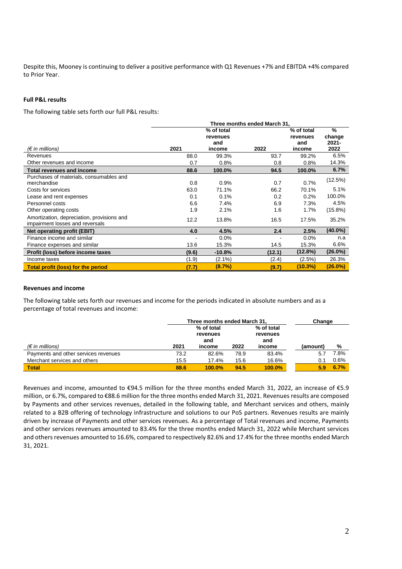Despite this, Mooney is continuing to deliver a positive performance with Q1 Revenues +7% and EBITDA +4% compared to Prior Year.

#### **Full P&L results**

The following table sets forth our full P&L results:

|                                                                               |       |            | Three months ended March 31. |            |            |
|-------------------------------------------------------------------------------|-------|------------|------------------------------|------------|------------|
|                                                                               |       | % of total |                              | % of total | $\%$       |
|                                                                               |       | revenues   |                              | revenues   | change     |
|                                                                               |       | and        |                              | and        | $2021 -$   |
| (€ in millions)                                                               | 2021  | income     | 2022                         | income     | 2022       |
| Revenues                                                                      | 88.0  | 99.3%      | 93.7                         | 99.2%      | 6.5%       |
| Other revenues and income                                                     | 0.7   | 0.8%       | 0.8                          | 0.8%       | 14.3%      |
| <b>Total revenues and income</b>                                              | 88.6  | 100.0%     | 94.5                         | 100.0%     | 6.7%       |
| Purchases of materials, consumables and                                       |       |            |                              |            |            |
| merchandise                                                                   | 0.8   | 0.9%       | 0.7                          | 0.7%       | (12.5%)    |
| Costs for services                                                            | 63.0  | 71.1%      | 66.2                         | 70.1%      | 5.1%       |
| Lease and rent expenses                                                       | 0.1   | 0.1%       | 0.2                          | 0.2%       | 100.0%     |
| Personnel costs                                                               | 6.6   | 7.4%       | 6.9                          | 7.3%       | 4.5%       |
| Other operating costs                                                         | 1.9   | 2.1%       | 1.6                          | 1.7%       | $(15.8\%)$ |
| Amortization, depreciation, provisions and<br>impairment losses and reversals | 12.2  | 13.8%      | 16.5                         | 17.5%      | 35.2%      |
| <b>Net operating profit (EBIT)</b>                                            | 4.0   | 4.5%       | 2.4                          | 2.5%       | $(40.0\%)$ |
| Finance income and similar                                                    |       | 0.0%       |                              | 0.0%       | n.a        |
| Finance expenses and similar                                                  | 13.6  | 15.3%      | 14.5                         | 15.3%      | 6.6%       |
| Profit (loss) before income taxes                                             | (9.6) | $-10.8%$   | (12.1)                       | (12.8%)    | $(26.0\%)$ |
| Income taxes                                                                  | (1.9) | $(2.1\%)$  | (2.4)                        | $(2.5\%)$  | 26.3%      |
| <b>Total profit (loss) for the period</b>                                     | (7.7) | (8.7%)     | (9.7)                        | $(10.3\%)$ | (26.0%)    |

#### **Revenues and income**

The following table sets forth our revenues and income for the periods indicated in absolute numbers and as a percentage of total revenues and income:

|                                      |      | Three months ended March 31.  |      |                               | Change   |      |
|--------------------------------------|------|-------------------------------|------|-------------------------------|----------|------|
|                                      |      | % of total<br>revenues<br>and |      | % of total<br>revenues<br>and |          |      |
| $(\epsilon$ in millions)             | 2021 | income                        | 2022 | income                        | (amount) | %    |
| Payments and other services revenues | 73.2 | 82.6%                         | 78.9 | 83.4%                         | 5.7      | 7.8% |
| Merchant services and others         | 15.5 | 17.4%                         | 15.6 | 16.6%                         | 0.1      | 0.6% |
| <b>Total</b>                         | 88.6 | 100.0%                        | 94.5 | 100.0%                        | 5.9      | 6.7% |

Revenues and income, amounted to €94.5 million for the three months ended March 31, 2022, an increase of €5.9 million, or 6.7%, compared to €88.6 million for the three months ended March 31, 2021. Revenues results are composed by Payments and other services revenues, detailed in the following table, and Merchant services and others, mainly related to a B2B offering of technology infrastructure and solutions to our PoS partners. Revenues results are mainly driven by increase of Payments and other services revenues. As a percentage of Total revenues and income, Payments and other services revenues amounted to 83.4% for the three months ended March 31, 2022 while Merchant services and others revenues amounted to 16.6%, compared to respectively 82.6% and 17.4% for the three months ended March 31, 2021.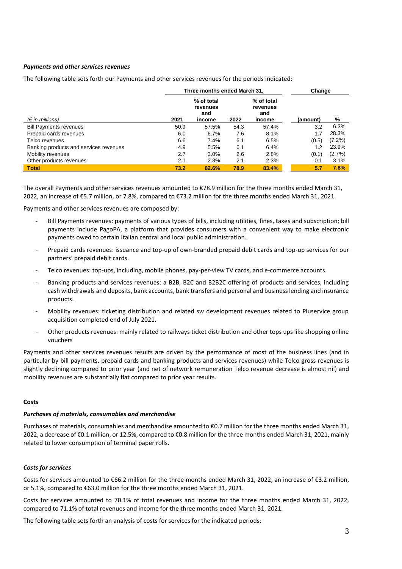#### *Payments and other services revenues*

**Three months ended March 31, Change**  *(€ in millions)* **2021 % of total revenues and income 2022 % of total revenues and income (amount) %** Bill Payments revenues 50.9 57.5% 54.3 57.4% 3.2 6.3% Prepaid cards revenues 6.0 6.7% 7.6 8.1% 1.7 28.3% Telco revenues 6.6 7.4% 6.1 6.5% (0.5) (7.2%) Banking products and services revenues 4.9 5.5% 6.1 6.4% 1.2 23.9% Mobility revenues 2.7 3.0% 2.6 2.8%<br>
2.3% 2.1 2.3% 2.1 2.3% Other products revenues 2.1 2.3% 2.1 2.3% 0.1 3.1%

The following table sets forth our Payments and other services revenues for the periods indicated:

The overall Payments and other services revenues amounted to €78.9 million for the three months ended March 31, 2022, an increase of €5.7 million, or 7.8%, compared to €73.2 million for the three months ended March 31, 2021.

**Total 73.2 82.6% 78.9 83.4% 5.7 7.8%** 

Payments and other services revenues are composed by:

- Bill Payments revenues: payments of various types of bills, including utilities, fines, taxes and subscription; bill payments include PagoPA, a platform that provides consumers with a convenient way to make electronic payments owed to certain Italian central and local public administration.
- Prepaid cards revenues: issuance and top-up of own-branded prepaid debit cards and top-up services for our partners' prepaid debit cards.
- Telco revenues: top-ups, including, mobile phones, pay-per-view TV cards, and e-commerce accounts.
- Banking products and services revenues: a B2B, B2C and B2B2C offering of products and services, including cash withdrawals and deposits, bank accounts, bank transfers and personal and business lending and insurance products.
- Mobility revenues: ticketing distribution and related sw development revenues related to Pluservice group acquisition completed end of July 2021.
- Other products revenues: mainly related to railways ticket distribution and other tops ups like shopping online vouchers

Payments and other services revenues results are driven by the performance of most of the business lines (and in particular by bill payments, prepaid cards and banking products and services revenues) while Telco gross revenues is slightly declining compared to prior year (and net of network remuneration Telco revenue decrease is almost nil) and mobility revenues are substantially flat compared to prior year results.

#### **Costs**

#### *Purchases of materials, consumables and merchandise*

Purchases of materials, consumables and merchandise amounted to €0.7 million for the three months ended March 31, 2022, a decrease of €0.1 million, or 12.5%, compared to €0.8 million for the three months ended March 31, 2021, mainly related to lower consumption of terminal paper rolls.

#### *Costs for services*

Costs for services amounted to €66.2 million for the three months ended March 31, 2022, an increase of €3.2 million, or 5.1%, compared to €63.0 million for the three months ended March 31, 2021.

Costs for services amounted to 70.1% of total revenues and income for the three months ended March 31, 2022, compared to 71.1% of total revenues and income for the three months ended March 31, 2021.

The following table sets forth an analysis of costs for services for the indicated periods: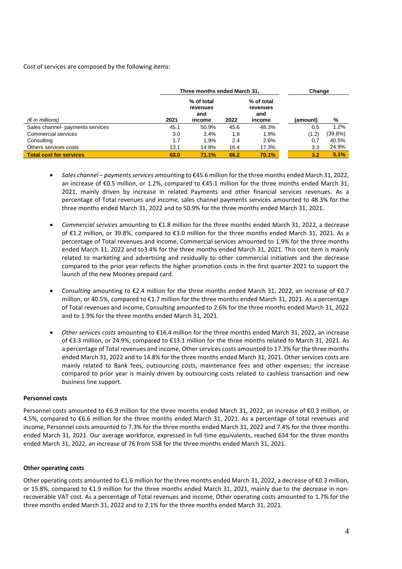Cost of services are composed by the following items:

|                                  | Three months ended March 31, |                                         |      |                                         | Change   |            |
|----------------------------------|------------------------------|-----------------------------------------|------|-----------------------------------------|----------|------------|
| $(\epsilon$ in millions)         | 2021                         | % of total<br>revenues<br>and<br>income | 2022 | % of total<br>revenues<br>and<br>income | (amount) | %          |
| Sales channel- payments services | 45.1                         | 50.9%                                   | 45.6 | 48.3%                                   | 0.5      | 1.2%       |
| Commercial services              | 3.0                          | 3.4%                                    | 1.8  | 1.9%                                    | (1.2)    | $(39.8\%)$ |
| Consulting                       | 1.7                          | 1.9%                                    | 2.4  | 2.6%                                    | 0.7      | 40.5%      |
| Others services costs            | 13.1                         | 14.8%                                   | 16.4 | 17.3%                                   | 3.3      | 24.9%      |
| <b>Total cost for services</b>   | 63.0                         | 71.1%                                   | 66.2 | 70.1%                                   | 3.2      | 5.1%       |

- *Sales channel – payments services* amounting to €45.6 million for the three months ended March 31, 2022, an increase of €0.5 million, or 1.2%, compared to €45.1 million for the three months ended March 31, 2021, mainly driven by increase in related Payments and other financial services revenues. As a percentage of Total revenues and income, sales channel payments services amounted to 48.3% for the three months ended March 31, 2022 and to 50.9% for the three months ended March 31, 2021.
- *Commercial services* amounting to €1.8 million for the three months ended March 31, 2022, a decrease of €1.2 million, or 39.8%, compared to €3.0 million for the three months ended March 31, 2021. As a percentage of Total revenues and income, Commercial services amounted to 1.9% for the three months ended March 31, 2022 and to3.4% for the three months ended March 31, 2021. This cost item is mainly related to marketing and advertising and residually to other commercial initiatives and the decrease compared to the prior year reflects the higher promotion costs in the first quarter 2021 to support the launch of the new Mooney prepaid card.
- *Consulting* amounting to €2.4 million for the three months ended March 31, 2022, an increase of €0.7 million, or 40.5%, compared to €1.7 million for the three months ended March 31, 2021. As a percentage of Total revenues and income, Consulting amounted to 2.6% for the three months ended March 31, 2022 and to 1.9% for the three months ended March 31, 2021.
- *Other services costs* amounting to €16.4 million for the three months ended March 31, 2022, an increase of €3.3 million, or 24.9%, compared to €13.1 million for the three months related to March 31, 2021. As a percentage of Total revenues and income, Other services costs amounted to 17.3% for the three months ended March 31, 2022 and to 14.8% for the three months ended March 31, 2021. Other services costs are mainly related to Bank fees, outsourcing costs, maintenance fees and other expenses; the increase compared to prior year is mainly driven by outsourcing costs related to cashless transaction and new business line support.

#### **Personnel costs**

Personnel costs amounted to €6.9 million for the three months ended March 31, 2022, an increase of €0.3 million, or 4.5%, compared to €6.6 million for the three months ended March 31, 2021. As a percentage of total revenues and income, Personnel costs amounted to 7.3% for the three months ended March 31, 2022 and 7.4% for the three months ended March 31, 2021. Our average workforce, expressed in full time equivalents, reached 634 for the three months ended March 31, 2022, an increase of 76 from 558 for the three months ended March 31, 2021.

#### **Other operating costs**

Other operating costs amounted to €1.6 million for the three months ended March 31, 2022, a decrease of €0.3 million, or 15.8%, compared to €1.9 million for the three months ended March 31, 2021, mainly due to the decrease in nonrecoverable VAT cost. As a percentage of Total revenues and income, Other operating costs amounted to 1.7% for the three months ended March 31, 2022 and to 2.1% for the three months ended March 31, 2021.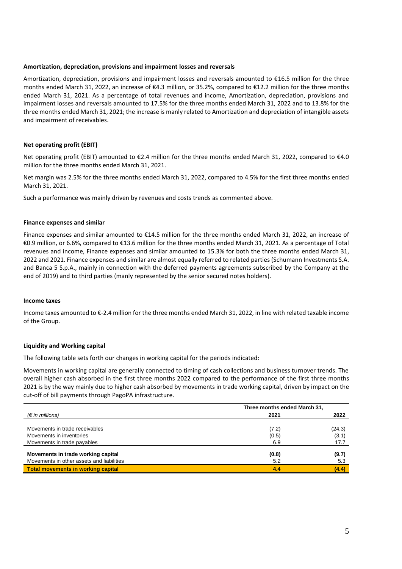#### **Amortization, depreciation, provisions and impairment losses and reversals**

Amortization, depreciation, provisions and impairment losses and reversals amounted to €16.5 million for the three months ended March 31, 2022, an increase of €4.3 million, or 35.2%, compared to €12.2 million for the three months ended March 31, 2021. As a percentage of total revenues and income, Amortization, depreciation, provisions and impairment losses and reversals amounted to 17.5% for the three months ended March 31, 2022 and to 13.8% for the three months ended March 31, 2021; the increase is manly related to Amortization and depreciation of intangible assets and impairment of receivables.

#### **Net operating profit (EBIT)**

Net operating profit (EBIT) amounted to €2.4 million for the three months ended March 31, 2022, compared to €4.0 million for the three months ended March 31, 2021.

Net margin was 2.5% for the three months ended March 31, 2022, compared to 4.5% for the first three months ended March 31, 2021.

Such a performance was mainly driven by revenues and costs trends as commented above.

#### **Finance expenses and similar**

Finance expenses and similar amounted to €14.5 million for the three months ended March 31, 2022, an increase of €0.9 million, or 6.6%, compared to €13.6 million for the three months ended March 31, 2021. As a percentage of Total revenues and income, Finance expenses and similar amounted to 15.3% for both the three months ended March 31, 2022 and 2021. Finance expenses and similar are almost equally referred to related parties (Schumann Investments S.A. and Banca 5 S.p.A., mainly in connection with the deferred payments agreements subscribed by the Company at the end of 2019) and to third parties (manly represented by the senior secured notes holders).

#### **Income taxes**

Income taxes amounted to €-2.4 million for the three months ended March 31, 2022, in line with related taxable income of the Group.

#### **Liquidity and Working capital**

The following table sets forth our changes in working capital for the periods indicated:

Movements in working capital are generally connected to timing of cash collections and business turnover trends. The overall higher cash absorbed in the first three months 2022 compared to the performance of the first three months 2021 is by the way mainly due to higher cash absorbed by movements in trade working capital, driven by impact on the cut-off of bill payments through PagoPA infrastructure.

|                                           | Three months ended March 31, |        |  |
|-------------------------------------------|------------------------------|--------|--|
| (€ in millions)                           | 2021                         | 2022   |  |
|                                           |                              |        |  |
| Movements in trade receivables            | (7.2)                        | (24.3) |  |
| Movements in inventories                  | (0.5)                        | (3.1)  |  |
| Movements in trade payables               | 6.9                          | 17.7   |  |
|                                           |                              |        |  |
| Movements in trade working capital        | (0.8)                        | (9.7)  |  |
| Movements in other assets and liabilities | 5.2                          | 5.3    |  |
| <b>Total movements in working capital</b> | 4.4                          | (4.4)  |  |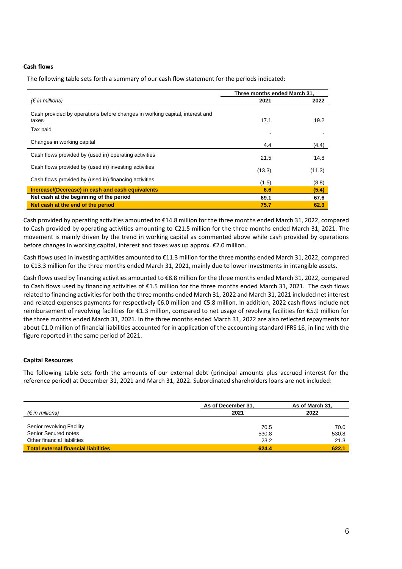#### **Cash flows**

The following table sets forth a summary of our cash flow statement for the periods indicated:

|                                                                                      | Three months ended March 31. |        |  |
|--------------------------------------------------------------------------------------|------------------------------|--------|--|
| $(\epsilon$ in millions)                                                             | 2021                         | 2022   |  |
| Cash provided by operations before changes in working capital, interest and<br>taxes | 17.1                         | 19.2   |  |
| Tax paid                                                                             |                              |        |  |
| Changes in working capital                                                           | 4.4                          | (4.4)  |  |
| Cash flows provided by (used in) operating activities                                | 21.5                         | 14.8   |  |
| Cash flows provided by (used in) investing activities                                | (13.3)                       | (11.3) |  |
| Cash flows provided by (used in) financing activities                                | (1.5)                        | (8.8)  |  |
| <b>Increase/(Decrease) in cash and cash equivalents</b>                              | 6.6                          | (5.4)  |  |
| Net cash at the beginning of the period                                              | 69.1                         | 67.6   |  |
| Net cash at the end of the period                                                    | 75.7                         | 62.3   |  |

Cash provided by operating activities amounted to €14.8 million for the three months ended March 31, 2022, compared to Cash provided by operating activities amounting to €21.5 million for the three months ended March 31, 2021. The movement is mainly driven by the trend in working capital as commented above while cash provided by operations before changes in working capital, interest and taxes was up approx. €2.0 million.

Cash flows used in investing activities amounted to €11.3 million for the three months ended March 31, 2022, compared to €13.3 million for the three months ended March 31, 2021, mainly due to lower investments in intangible assets.

Cash flows used by financing activities amounted to €8.8 million for the three months ended March 31, 2022, compared to Cash flows used by financing activities of €1.5 million for the three months ended March 31, 2021. The cash flows related to financing activities for both the three months ended March 31, 2022 and March 31, 2021 included net interest and related expenses payments for respectively €6.0 million and €5.8 million. In addition, 2022 cash flows include net reimbursement of revolving facilities for €1.3 million, compared to net usage of revolving facilities for €5.9 million for the three months ended March 31, 2021. In the three months ended March 31, 2022 are also reflected repayments for about €1.0 million of financial liabilities accounted for in application of the accounting standard IFRS 16, in line with the figure reported in the same period of 2021.

#### **Capital Resources**

The following table sets forth the amounts of our external debt (principal amounts plus accrued interest for the reference period) at December 31, 2021 and March 31, 2022. Subordinated shareholders loans are not included:

|                                             | As of December 31, | As of March 31, |  |
|---------------------------------------------|--------------------|-----------------|--|
| (€ in millions)                             | 2021               | 2022            |  |
|                                             |                    |                 |  |
| Senior revolving Facility                   | 70.5               | 70.0            |  |
| Senior Secured notes                        | 530.8              | 530.8           |  |
| Other financial liabilities                 | 23.2               | 21.3            |  |
| <b>Total external financial liabilities</b> | 624.4              | 622.1           |  |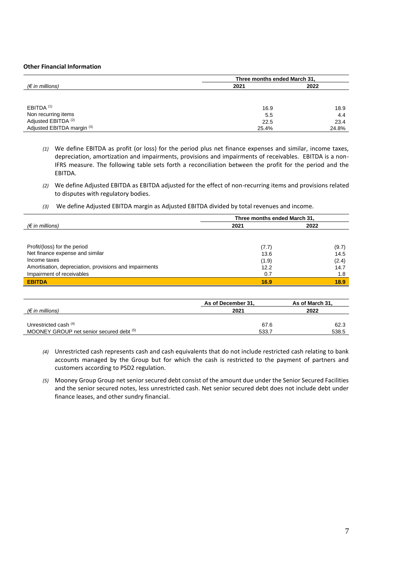#### **Other Financial Information**

|                                | Three months ended March 31, |       |  |  |
|--------------------------------|------------------------------|-------|--|--|
| $(\epsilon$ in millions)       | 2021                         | 2022  |  |  |
|                                |                              |       |  |  |
|                                |                              |       |  |  |
| EBITDA <sup>(1)</sup>          | 16.9                         | 18.9  |  |  |
| Non recurring items            | 5.5                          | 4.4   |  |  |
| Adjusted EBITDA <sup>(2)</sup> | 22.5                         | 23.4  |  |  |
| Adjusted EBITDA margin (3)     | 25.4%                        | 24.8% |  |  |

*(1)* We define EBITDA as profit (or loss) for the period plus net finance expenses and similar, income taxes, depreciation, amortization and impairments, provisions and impairments of receivables. EBITDA is a non-IFRS measure. The following table sets forth a reconciliation between the profit for the period and the EBITDA.

- *(2)* We define Adjusted EBITDA as EBITDA adjusted for the effect of non-recurring items and provisions related to disputes with regulatory bodies.
- *(3)* We define Adjusted EBITDA margin as Adjusted EBITDA divided by total revenues and income.

|                                                        | Three months ended March 31, |       |
|--------------------------------------------------------|------------------------------|-------|
| $(\epsilon$ in millions)                               | 2021                         | 2022  |
|                                                        |                              |       |
|                                                        |                              |       |
| Profit/(loss) for the period                           | (7.7)                        | (9.7) |
| Net finance expense and similar                        | 13.6                         | 14.5  |
| Income taxes                                           | (1.9)                        | (2.4) |
| Amortisation, depreciation, provisions and impairments | 12.2                         | 14.7  |
| Impairment of receivables                              | 0.7                          | 1.8   |
| <b>EBITDA</b>                                          | 16.9                         | 18.9  |

|                                          | As of December 31, | As of March 31. |  |
|------------------------------------------|--------------------|-----------------|--|
| (€ in millions)                          | 2021               | 2022            |  |
|                                          |                    |                 |  |
| Unrestricted cash $(4)$                  | 67.6               | 62.3            |  |
| MOONEY GROUP net senior secured debt (5) | 533.7              | 538.5           |  |

- *(4)* Unrestricted cash represents cash and cash equivalents that do not include restricted cash relating to bank accounts managed by the Group but for which the cash is restricted to the payment of partners and customers according to PSD2 regulation.
- *(5)* Mooney Group Group net senior secured debt consist of the amount due under the Senior Secured Facilities and the senior secured notes, less unrestricted cash. Net senior secured debt does not include debt under finance leases, and other sundry financial.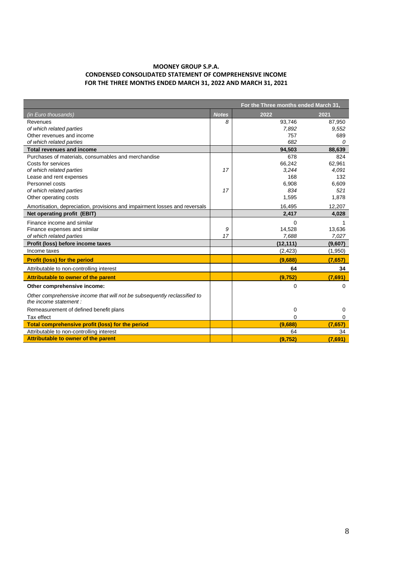#### **MOONEY GROUP S.P.A. CONDENSED CONSOLIDATED STATEMENT OF COMPREHENSIVE INCOME FOR THE THREE MONTHS ENDED MARCH 31, 2022 AND MARCH 31, 2021**

|                                                                            |              | For the Three months ended March 31, |             |
|----------------------------------------------------------------------------|--------------|--------------------------------------|-------------|
| <i>(in Euro thousands)</i>                                                 | <b>Notes</b> | 2022                                 | 2021        |
| Revenues                                                                   | 8            | 93,746                               | 87,950      |
| of which related parties                                                   |              | 7,892                                | 9,552       |
| Other revenues and income                                                  |              | 757                                  | 689         |
| of which related parties                                                   |              | 682                                  | $\Omega$    |
| <b>Total revenues and income</b>                                           |              | 94,503                               | 88,639      |
| Purchases of materials, consumables and merchandise                        |              | 678                                  | 824         |
| Costs for services                                                         |              | 66,242                               | 62,961      |
| of which related parties                                                   | 17           | 3,244                                | 4,091       |
| Lease and rent expenses                                                    |              | 168                                  | 132         |
| Personnel costs                                                            |              | 6,908                                | 6,609       |
| of which related parties                                                   | 17           | 834                                  | 521         |
| Other operating costs                                                      |              | 1,595                                | 1,878       |
| Amortisation, depreciation, provisions and impairment losses and reversals |              | 16.495                               | 12.207      |
| Net operating profit (EBIT)                                                |              | 2,417                                | 4,028       |
| Finance income and similar                                                 |              | 0                                    |             |
| Finance expenses and similar                                               | 9            | 14,528                               | 13,636      |
| of which related parties                                                   | 17           | 7,688                                | 7,027       |
| Profit (loss) before income taxes                                          |              | (12,111)                             | (9,607)     |
| Income taxes                                                               |              | (2, 423)                             | (1,950)     |
| <b>Profit (loss) for the period</b>                                        |              | (9,688)                              | (7,657)     |
| Attributable to non-controlling interest                                   |              | 64                                   | 34          |
| Attributable to owner of the parent                                        |              | (9, 752)                             | (7,691)     |
| Other comprehensive income:                                                |              | 0                                    | $\mathbf 0$ |
| Other comprehensive income that will not be subsequently reclassified to   |              |                                      |             |
| the income statement:                                                      |              |                                      |             |
| Remeasurement of defined benefit plans                                     |              | 0                                    | 0           |
| Tax effect                                                                 |              | 0                                    | 0           |
| <b>Total comprehensive profit (loss) for the period</b>                    |              | (9,688)                              | (7,657)     |
| Attributable to non-controlling interest                                   |              | 64                                   | 34          |
| Attributable to owner of the parent                                        |              | (9,752)                              | (7,691)     |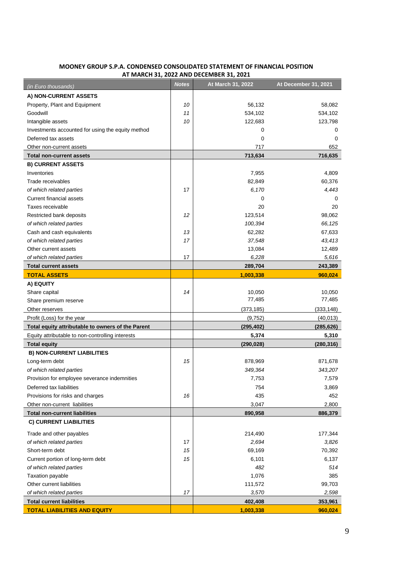| (in Euro thousands)                               | <b>Notes</b> | At March 31, 2022 | At December 31, 2021 |
|---------------------------------------------------|--------------|-------------------|----------------------|
| A) NON-CURRENT ASSETS                             |              |                   |                      |
| Property, Plant and Equipment                     | 10           | 56,132            | 58,082               |
| Goodwill                                          | 11           | 534,102           | 534,102              |
| Intangible assets                                 | 10           | 122,683           | 123,798              |
| Investments accounted for using the equity method |              | 0                 | 0                    |
| Deferred tax assets                               |              | 0                 | 0                    |
| Other non-current assets                          |              | 717               | 652                  |
| <b>Total non-current assets</b>                   |              | 713,634           | 716,635              |
| <b>B) CURRENT ASSETS</b>                          |              |                   |                      |
| Inventories                                       |              | 7,955             | 4,809                |
| Trade receivables                                 |              | 82,849            | 60,376               |
| of which related parties                          | 17           | 6,170             | 4,443                |
| <b>Current financial assets</b>                   |              | 0                 | 0                    |
| Taxes receivable                                  |              | 20                | 20                   |
| Restricted bank deposits                          | 12           | 123,514           | 98,062               |
| of which related parties                          |              | 100,394           | 66,125               |
| Cash and cash equivalents                         | 13           | 62,282            | 67,633               |
| of which related parties                          | 17           | 37,548            | 43,413               |
| Other current assets                              |              | 13,084            | 12,489               |
| of which related parties                          | 17           | 6,228             | 5,616                |
| <b>Total current assets</b>                       |              | 289,704           | 243,389              |
| <b>TOTAL ASSETS</b>                               |              | 1,003,338         | 960,024              |
| A) EQUITY                                         |              |                   |                      |
| Share capital                                     | 14           | 10,050            | 10,050               |
| Share premium reserve                             |              | 77,485            | 77,485               |
| Other reserves                                    |              | (373, 185)        | (333, 148)           |
| Profit (Loss) for the year                        |              | (9,752)           | (40, 013)            |
| Total equity attributable to owners of the Parent |              | (295, 402)        | (285, 626)           |
| Equity attributable to non-controlling interests  |              | 5,374             | 5,310                |
| <b>Total equity</b>                               |              | (290, 028)        | (280, 316)           |
| <b>B) NON-CURRENT LIABILITIES</b>                 |              |                   |                      |
| Long-term debt                                    | 15           | 878,969           | 871,678              |
| of which related parties                          |              | 349,364           | 343,207              |
| Provision for employee severance indemnities      |              | 7,753             | 7,579                |
| Deferred tax liabilities                          |              | 754               | 3,869                |
| Provisions for risks and charges                  | 16           | 435               | 452                  |
| Other non-current liabilities                     |              | 3,047             | 2,800                |
| <b>Total non-current liabilities</b>              |              | 890,958           | 886,379              |
| <b>C) CURRENT LIABILITIES</b>                     |              |                   |                      |
| Trade and other payables                          |              | 214,490           | 177,344              |
| of which related parties                          | 17           | 2,694             | 3,826                |
| Short-term debt                                   | 15           | 69,169            | 70,392               |
| Current portion of long-term debt                 | 15           | 6,101             | 6,137                |
| of which related parties                          |              | 482               | 514                  |
| Taxation payable                                  |              | 1,076             | 385                  |
| Other current liabilities                         |              | 111,572           | 99,703               |
| of which related parties                          | 17           | 3,570             | 2,598                |
| <b>Total current liabilities</b>                  |              | 402,408           | 353,961              |
| <b>TOTAL LIABILITIES AND EQUITY</b>               |              | 1,003,338         | 960,024              |

#### **MOONEY GROUP S.P.A. CONDENSED CONSOLIDATED STATEMENT OF FINANCIAL POSITION AT MARCH 31, 2022 AND DECEMBER 31, 2021**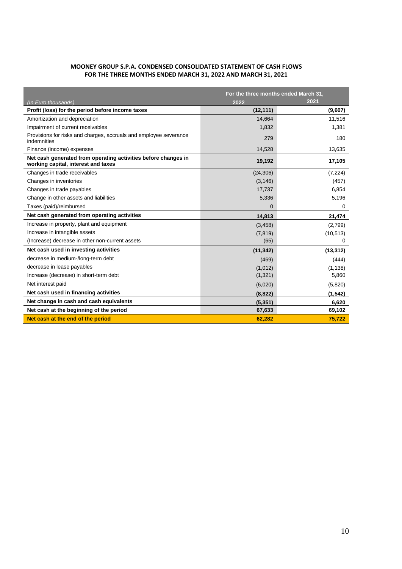#### **MOONEY GROUP S.P.A. CONDENSED CONSOLIDATED STATEMENT OF CASH FLOWS FOR THE THREE MONTHS ENDED MARCH 31, 2022 AND MARCH 31, 2021**

|                                                                                                       | For the three months ended March 31, |           |  |
|-------------------------------------------------------------------------------------------------------|--------------------------------------|-----------|--|
| (In Euro thousands)                                                                                   | 2022                                 | 2021      |  |
| Profit (loss) for the period before income taxes                                                      | (12, 111)                            | (9,607)   |  |
| Amortization and depreciation                                                                         | 14,664                               | 11,516    |  |
| Impairment of current receivables                                                                     | 1,832                                | 1,381     |  |
| Provisions for risks and charges, accruals and employee severance<br>indemnities                      | 279                                  | 180       |  |
| Finance (income) expenses                                                                             | 14,528                               | 13,635    |  |
| Net cash generated from operating activities before changes in<br>working capital, interest and taxes | 19,192                               | 17,105    |  |
| Changes in trade receivables                                                                          | (24, 306)                            | (7, 224)  |  |
| Changes in inventories                                                                                | (3, 146)                             | (457)     |  |
| Changes in trade payables                                                                             | 17.737                               | 6.854     |  |
| Change in other assets and liabilities                                                                | 5,336                                | 5,196     |  |
| Taxes (paid)/reimbursed                                                                               | $\Omega$                             | 0         |  |
| Net cash generated from operating activities                                                          | 14,813                               | 21,474    |  |
| Increase in property, plant and equipment                                                             | (3, 458)                             | (2,799)   |  |
| Increase in intangible assets                                                                         | (7, 819)                             | (10, 513) |  |
| (Increase) decrease in other non-current assets                                                       | (65)                                 | 0         |  |
| Net cash used in investing activities                                                                 | (11, 342)                            | (13, 312) |  |
| decrease in medium-/long-term debt                                                                    | (469)                                | (444)     |  |
| decrease in lease payables                                                                            | (1,012)                              | (1, 138)  |  |
| Increase (decrease) in short-term debt                                                                | (1,321)                              | 5,860     |  |
| Net interest paid                                                                                     | (6,020)                              | (5,820)   |  |
| Net cash used in financing activities                                                                 | (8, 822)                             | (1, 542)  |  |
| Net change in cash and cash equivalents                                                               | (5, 351)                             | 6,620     |  |
| Net cash at the beginning of the period                                                               | 67,633                               | 69,102    |  |
| Net cash at the end of the period                                                                     | 62,282                               | 75,722    |  |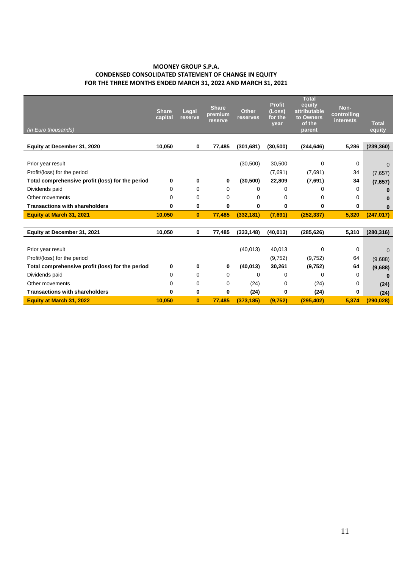#### **MOONEY GROUP S.P.A. CONDENSED CONSOLIDATED STATEMENT OF CHANGE IN EQUITY FOR THE THREE MONTHS ENDED MARCH 31, 2022 AND MARCH 31, 2021**

| <i>(in Euro thousands)</i>                       | <b>Share</b><br>capital | Legal<br>reserve | <b>Share</b><br>premium<br>reserve | <b>Other</b><br>reserves | <b>Profit</b><br>(Loss)<br>for the<br>year | <b>Total</b><br>equity<br>attributable<br>to Owners<br>of the<br>parent | Non-<br>controlling<br><b>interests</b> | <b>Total</b><br>equity |
|--------------------------------------------------|-------------------------|------------------|------------------------------------|--------------------------|--------------------------------------------|-------------------------------------------------------------------------|-----------------------------------------|------------------------|
|                                                  |                         |                  |                                    |                          |                                            |                                                                         |                                         |                        |
| Equity at December 31, 2020                      | 10.050                  | 0                | 77,485                             | (301, 681)               | (30, 500)                                  | (244, 646)                                                              | 5,286                                   | (239, 360)             |
|                                                  |                         |                  |                                    |                          |                                            |                                                                         |                                         |                        |
| Prior year result                                |                         |                  |                                    | (30, 500)                | 30,500                                     | 0                                                                       | 0                                       | $\Omega$               |
| Profit/(loss) for the period                     |                         |                  |                                    |                          | (7,691)                                    | (7,691)                                                                 | 34                                      | (7,657)                |
| Total comprehensive profit (loss) for the period | 0                       | 0                | 0                                  | (30, 500)                | 22,809                                     | (7,691)                                                                 | 34                                      | (7,657)                |
| Dividends paid                                   | 0                       | 0                | 0                                  | 0                        | 0                                          | 0                                                                       | 0                                       |                        |
| Other movements                                  | 0                       | 0                | 0                                  | 0                        | 0                                          | 0                                                                       | 0                                       | ŋ                      |
| <b>Transactions with shareholders</b>            | 0                       | 0                | 0                                  | 0                        | 0                                          | 0                                                                       | 0                                       |                        |
| Equity at March 31, 2021                         | 10,050                  | $\bf{0}$         | 77,485                             | (332, 181)               | (7,691)                                    | (252, 337)                                                              | 5,320                                   | (247, 017)             |
|                                                  |                         |                  |                                    |                          |                                            |                                                                         |                                         |                        |
| Equity at December 31, 2021                      | 10,050                  | 0                | 77,485                             | (333, 148)               | (40, 013)                                  | (285, 626)                                                              | 5,310                                   | (280, 316)             |
|                                                  |                         |                  |                                    |                          |                                            |                                                                         |                                         |                        |
| Prior year result                                |                         |                  |                                    | (40, 013)                | 40,013                                     | 0                                                                       | 0                                       | $\Omega$               |
| Profit/(loss) for the period                     |                         |                  |                                    |                          | (9,752)                                    | (9,752)                                                                 | 64                                      | (9,688)                |
| Total comprehensive profit (loss) for the period | 0                       | 0                | 0                                  | (40, 013)                | 30,261                                     | (9,752)                                                                 | 64                                      | (9,688)                |
| Dividends paid                                   | 0                       | 0                | 0                                  | 0                        | 0                                          | 0                                                                       | $\Omega$                                | $\bf{0}$               |
| Other movements                                  | 0                       | 0                | 0                                  | (24)                     | 0                                          | (24)                                                                    | 0                                       | (24)                   |
| <b>Transactions with shareholders</b>            | 0                       | 0                | 0                                  | (24)                     | 0                                          | (24)                                                                    | 0                                       | (24)                   |
| <b>Equity at March 31, 2022</b>                  | 10.050                  | $\bf{0}$         | 77.485                             | (373, 185)               | (9,752)                                    | (295, 402)                                                              | 5,374                                   | (290, 028)             |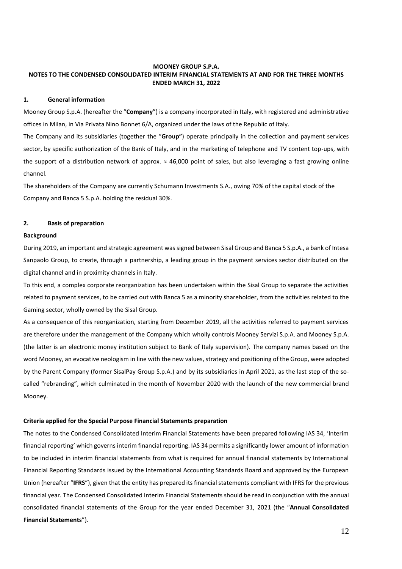#### **MOONEY GROUP S.P.A. NOTES TO THE CONDENSED CONSOLIDATED INTERIM FINANCIAL STATEMENTS AT AND FOR THE THREE MONTHS ENDED MARCH 31, 2022**

#### **1. General information**

Mooney Group S.p.A. (hereafter the "**Company**") is a company incorporated in Italy, with registered and administrative offices in Milan, in Via Privata Nino Bonnet 6/A, organized under the laws of the Republic of Italy.

The Company and its subsidiaries (together the "**Group"**) operate principally in the collection and payment services sector, by specific authorization of the Bank of Italy, and in the marketing of telephone and TV content top-ups, with the support of a distribution network of approx. ≈ 46,000 point of sales, but also leveraging a fast growing online channel.

The shareholders of the Company are currently Schumann Investments S.A., owing 70% of the capital stock of the Company and Banca 5 S.p.A. holding the residual 30%.

#### **2. Basis of preparation**

#### **Background**

During 2019, an important and strategic agreement was signed between Sisal Group and Banca 5 S.p.A., a bank of Intesa Sanpaolo Group, to create, through a partnership, a leading group in the payment services sector distributed on the digital channel and in proximity channels in Italy.

To this end, a complex corporate reorganization has been undertaken within the Sisal Group to separate the activities related to payment services, to be carried out with Banca 5 as a minority shareholder, from the activities related to the Gaming sector, wholly owned by the Sisal Group.

As a consequence of this reorganization, starting from December 2019, all the activities referred to payment services are therefore under the management of the Company which wholly controls Mooney Servizi S.p.A. and Mooney S.p.A. (the latter is an electronic money institution subject to Bank of Italy supervision). The company names based on the word Mooney, an evocative neologism in line with the new values, strategy and positioning of the Group, were adopted by the Parent Company (former SisalPay Group S.p.A.) and by its subsidiaries in April 2021, as the last step of the socalled "rebranding", which culminated in the month of November 2020 with the launch of the new commercial brand Mooney.

#### **Criteria applied for the Special Purpose Financial Statements preparation**

The notes to the Condensed Consolidated Interim Financial Statements have been prepared following IAS 34, 'Interim financial reporting' which governs interim financial reporting. IAS 34 permits a significantly lower amount of information to be included in interim financial statements from what is required for annual financial statements by International Financial Reporting Standards issued by the International Accounting Standards Board and approved by the European Union (hereafter "**IFRS**"), given that the entity has prepared its financial statements compliant with IFRS for the previous financial year. The Condensed Consolidated Interim Financial Statements should be read in conjunction with the annual consolidated financial statements of the Group for the year ended December 31, 2021 (the "**Annual Consolidated Financial Statements**").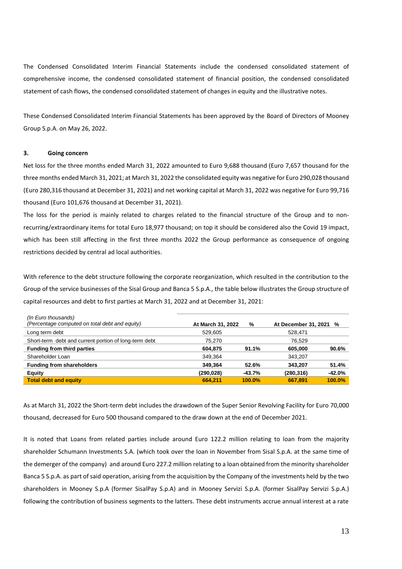The Condensed Consolidated Interim Financial Statements include the condensed consolidated statement of comprehensive income, the condensed consolidated statement of financial position, the condensed consolidated statement of cash flows, the condensed consolidated statement of changes in equity and the illustrative notes.

These Condensed Consolidated Interim Financial Statements has been approved by the Board of Directors of Mooney Group S.p.A. on May 26, 2022.

#### **3. Going concern**

Net loss for the three months ended March 31, 2022 amounted to Euro 9,688 thousand (Euro 7,657 thousand for the three months ended March 31, 2021; at March 31, 2022 the consolidated equity was negative for Euro 290,028 thousand (Euro 280,316 thousand at December 31, 2021) and net working capital at March 31, 2022 was negative for Euro 99,716 thousand (Euro 101,676 thousand at December 31, 2021).

The loss for the period is mainly related to charges related to the financial structure of the Group and to nonrecurring/extraordinary items for total Euro 18,977 thousand; on top it should be considered also the Covid 19 impact, which has been still affecting in the first three months 2022 the Group performance as consequence of ongoing restrictions decided by central ad local authorities.

With reference to the debt structure following the corporate reorganization, which resulted in the contribution to the Group of the service businesses of the Sisal Group and Banca 5 S.p.A., the table below illustrates the Group structure of capital resources and debt to first parties at March 31, 2022 and at December 31, 2021:

|            | %             |                   |                        |
|------------|---------------|-------------------|------------------------|
| 529,605    |               | 528.471           |                        |
| 75.270     |               | 76.529            |                        |
| 604,875    | 91.1%         | 605.000           | 90.6%                  |
| 349.364    |               | 343.207           |                        |
| 349.364    | 52.6%         | 343.207           | 51.4%                  |
| (290, 028) | -43.7%        | (280, 316)        | $-42.0%$               |
| 664.211    | <b>100.0%</b> | 667.891           | 100.0%                 |
|            |               | At March 31, 2022 | At December 31, 2021 % |

As at March 31, 2022 the Short-term debt includes the drawdown of the Super Senior Revolving Facility for Euro 70,000 thousand, decreased for Euro 500 thousand compared to the draw down at the end of December 2021.

It is noted that Loans from related parties include around Euro 122.2 million relating to loan from the majority shareholder Schumann Investments S.A. (which took over the loan in November from Sisal S.p.A. at the same time of the demerger of the company) and around Euro 227.2 million relating to a loan obtained from the minority shareholder Banca 5 S.p.A. as part of said operation, arising from the acquisition by the Company of the investments held by the two shareholders in Mooney S.p.A (former SisalPay S.p.A) and in Mooney Servizi S.p.A. (former SisalPay Servizi S.p.A.) following the contribution of business segments to the latters. These debt instruments accrue annual interest at a rate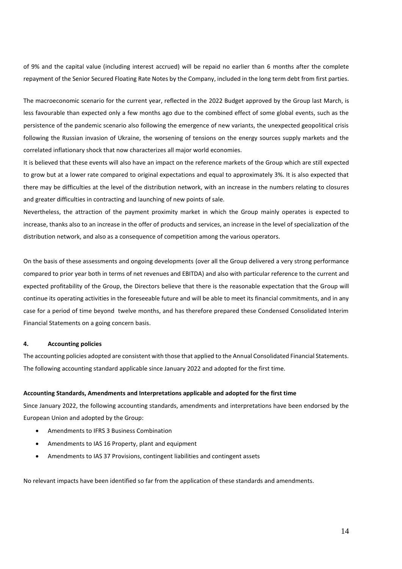of 9% and the capital value (including interest accrued) will be repaid no earlier than 6 months after the complete repayment of the Senior Secured Floating Rate Notes by the Company, included in the long term debt from first parties.

The macroeconomic scenario for the current year, reflected in the 2022 Budget approved by the Group last March, is less favourable than expected only a few months ago due to the combined effect of some global events, such as the persistence of the pandemic scenario also following the emergence of new variants, the unexpected geopolitical crisis following the Russian invasion of Ukraine, the worsening of tensions on the energy sources supply markets and the correlated inflationary shock that now characterizes all major world economies.

It is believed that these events will also have an impact on the reference markets of the Group which are still expected to grow but at a lower rate compared to original expectations and equal to approximately 3%. It is also expected that there may be difficulties at the level of the distribution network, with an increase in the numbers relating to closures and greater difficulties in contracting and launching of new points of sale.

Nevertheless, the attraction of the payment proximity market in which the Group mainly operates is expected to increase, thanks also to an increase in the offer of products and services, an increase in the level of specialization of the distribution network, and also as a consequence of competition among the various operators.

On the basis of these assessments and ongoing developments (over all the Group delivered a very strong performance compared to prior year both in terms of net revenues and EBITDA) and also with particular reference to the current and expected profitability of the Group, the Directors believe that there is the reasonable expectation that the Group will continue its operating activities in the foreseeable future and will be able to meet its financial commitments, and in any case for a period of time beyond twelve months, and has therefore prepared these Condensed Consolidated Interim Financial Statements on a going concern basis.

#### **4. Accounting policies**

The accounting policies adopted are consistent with those that applied to the Annual Consolidated Financial Statements. The following accounting standard applicable since January 2022 and adopted for the first time.

#### **Accounting Standards, Amendments and Interpretations applicable and adopted for the first time**

Since January 2022, the following accounting standards, amendments and interpretations have been endorsed by the European Union and adopted by the Group:

- Amendments to IFRS 3 Business Combination
- Amendments to IAS 16 Property, plant and equipment
- Amendments to IAS 37 Provisions, contingent liabilities and contingent assets

No relevant impacts have been identified so far from the application of these standards and amendments.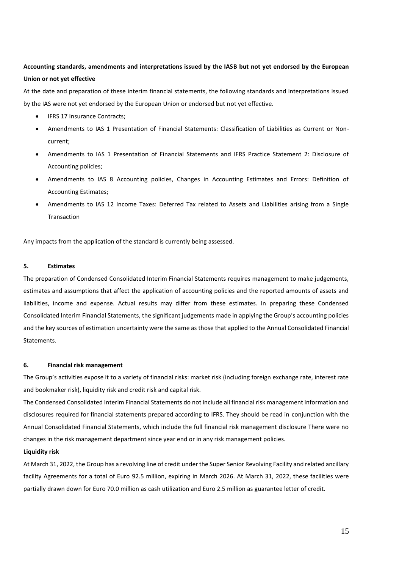#### **Accounting standards, amendments and interpretations issued by the IASB but not yet endorsed by the European Union or not yet effective**

At the date and preparation of these interim financial statements, the following standards and interpretations issued by the IAS were not yet endorsed by the European Union or endorsed but not yet effective.

- IFRS 17 Insurance Contracts;
- Amendments to IAS 1 Presentation of Financial Statements: Classification of Liabilities as Current or Noncurrent;
- Amendments to IAS 1 Presentation of Financial Statements and IFRS Practice Statement 2: Disclosure of Accounting policies;
- Amendments to IAS 8 Accounting policies, Changes in Accounting Estimates and Errors: Definition of Accounting Estimates;
- Amendments to IAS 12 Income Taxes: Deferred Tax related to Assets and Liabilities arising from a Single Transaction

Any impacts from the application of the standard is currently being assessed.

#### **5. Estimates**

The preparation of Condensed Consolidated Interim Financial Statements requires management to make judgements, estimates and assumptions that affect the application of accounting policies and the reported amounts of assets and liabilities, income and expense. Actual results may differ from these estimates. In preparing these Condensed Consolidated Interim Financial Statements, the significant judgements made in applying the Group's accounting policies and the key sources of estimation uncertainty were the same as those that applied to the Annual Consolidated Financial Statements.

#### **6. Financial risk management**

The Group's activities expose it to a variety of financial risks: market risk (including foreign exchange rate, interest rate and bookmaker risk), liquidity risk and credit risk and capital risk.

The Condensed Consolidated Interim Financial Statements do not include all financial risk management information and disclosures required for financial statements prepared according to IFRS. They should be read in conjunction with the Annual Consolidated Financial Statements, which include the full financial risk management disclosure There were no changes in the risk management department since year end or in any risk management policies.

#### **Liquidity risk**

At March 31, 2022, the Group has a revolving line of credit under the Super Senior Revolving Facility and related ancillary facility Agreements for a total of Euro 92.5 million, expiring in March 2026. At March 31, 2022, these facilities were partially drawn down for Euro 70.0 million as cash utilization and Euro 2.5 million as guarantee letter of credit.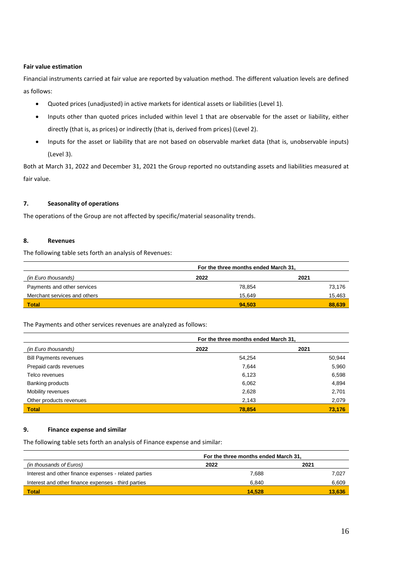#### **Fair value estimation**

Financial instruments carried at fair value are reported by valuation method. The different valuation levels are defined as follows:

- Quoted prices (unadjusted) in active markets for identical assets or liabilities (Level 1).
- Inputs other than quoted prices included within level 1 that are observable for the asset or liability, either directly (that is, as prices) or indirectly (that is, derived from prices) (Level 2).
- Inputs for the asset or liability that are not based on observable market data (that is, unobservable inputs) (Level 3).

Both at March 31, 2022 and December 31, 2021 the Group reported no outstanding assets and liabilities measured at fair value.

#### **7. Seasonality of operations**

The operations of the Group are not affected by specific/material seasonality trends.

#### **8. Revenues**

The following table sets forth an analysis of Revenues:

|                              | For the three months ended March 31, |        |  |
|------------------------------|--------------------------------------|--------|--|
| (in Euro thousands)          | 2022                                 | 2021   |  |
| Payments and other services  | 78.854                               | 73.176 |  |
| Merchant services and others | 15.649                               | 15,463 |  |
| <b>Total</b>                 | 94.503                               | 88.639 |  |

The Payments and other services revenues are analyzed as follows:

|                               | For the three months ended March 31, |        |
|-------------------------------|--------------------------------------|--------|
| (in Euro thousands)           | 2022                                 | 2021   |
| <b>Bill Payments revenues</b> | 54,254                               | 50,944 |
| Prepaid cards revenues        | 7,644                                | 5,960  |
| Telco revenues                | 6,123                                | 6,598  |
| Banking products              | 6,062                                | 4,894  |
| Mobility revenues             | 2,628                                | 2,701  |
| Other products revenues       | 2,143                                | 2,079  |
| <b>Total</b>                  | 78.854                               | 73.176 |

#### **9. Finance expense and similar**

The following table sets forth an analysis of Finance expense and similar:

|                                                       |        | For the three months ended March 31, |  |  |
|-------------------------------------------------------|--------|--------------------------------------|--|--|
| (in thousands of Euros)                               | 2022   | 2021                                 |  |  |
| Interest and other finance expenses - related parties | 7.688  | 7.027                                |  |  |
| Interest and other finance expenses - third parties   | 6.840  | 6,609                                |  |  |
| Total                                                 | 14.528 | 13.636                               |  |  |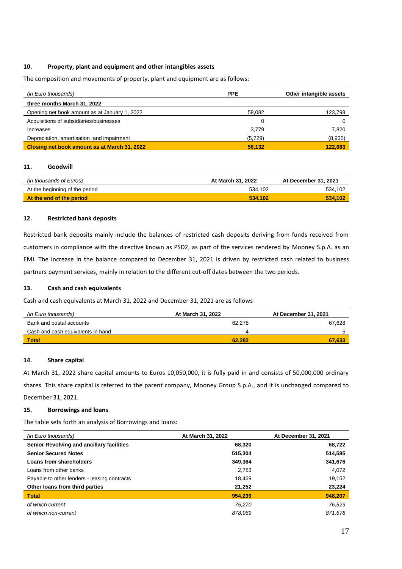#### **10. Property, plant and equipment and other intangibles assets**

The composition and movements of property, plant and equipment are as follows:

| (in Euro thousands)                           | <b>PPE</b> | Other intangible assets |
|-----------------------------------------------|------------|-------------------------|
| three months March 31, 2022                   |            |                         |
| Opening net book amount as at January 1, 2022 | 58.082     | 123,798                 |
| Acquisitions of subsidiaries/businesses       |            |                         |
| Increases                                     | 3.779      | 7.820                   |
| Depreciation, amortisation and impairment     | (5,729)    | (8,935)                 |
| Closing net book amount as at March 31, 2022  | 56.132     | 122.683                 |

#### **11. Goodwill**

| (in thousands of Euros)        | At March 31, 2022 | At December 31, 2021 |
|--------------------------------|-------------------|----------------------|
| At the beginning of the period | 534.102           | 534.102              |
| At the end of the period       | 534.102           | 534.102              |

#### **12. Restricted bank deposits**

Restricted bank deposits mainly include the balances of restricted cash deposits deriving from funds received from customers in compliance with the directive known as PSD2, as part of the services rendered by Mooney S.p.A. as an EMI. The increase in the balance compared to December 31, 2021 is driven by restricted cash related to business partners payment services, mainly in relation to the different cut-off dates between the two periods.

#### **13. Cash and cash equivalents**

Cash and cash equivalents at March 31, 2022 and December 31, 2021 are as follows

| (in Euro thousands)               | At March 31, 2022 | At December 31, 2021 |
|-----------------------------------|-------------------|----------------------|
| Bank and postal accounts          | 62.278            | 67.628               |
| Cash and cash equivalents in hand |                   |                      |
| <b>Total</b>                      | 62.282            | 67.633               |

#### **14. Share capital**

At March 31, 2022 share capital amounts to Euros 10,050,000, it is fully paid in and consists of 50,000,000 ordinary shares. This share capital is referred to the parent company, Mooney Group S.p.A., and it is unchanged compared to December 31, 2021.

#### **15. Borrowings and loans**

The table sets forth an analysis of Borrowings and loans:

| (in Euro thousands)                          | At March 31, 2022 | At December 31, 2021 |
|----------------------------------------------|-------------------|----------------------|
| Senior Revolving and ancillary facilities    | 68,320            | 68,722               |
| <b>Senior Secured Notes</b>                  | 515,304           | 514,585              |
| Loans from shareholders                      | 349,364           | 341,676              |
| Loans from other banks                       | 2,783             | 4,072                |
| Payable to other lenders - leasing contracts | 18,469            | 19,152               |
| Other loans from third parties               | 21,252            | 23,224               |
| <b>Total</b>                                 | 954.239           | 948,207              |
| of which current                             | 75,270            | 76,529               |
| of which non-current                         | 878,969           | 871,678              |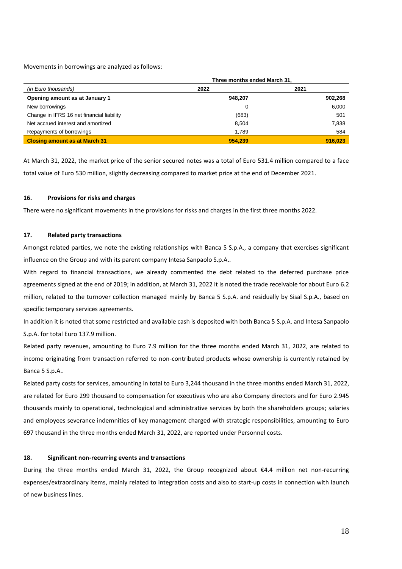Movements in borrowings are analyzed as follows:

|                                           | Three months ended March 31, |         |
|-------------------------------------------|------------------------------|---------|
| (in Euro thousands)                       | 2022                         | 2021    |
| Opening amount as at January 1            | 948,207                      | 902,268 |
| New borrowings                            | 0                            | 6,000   |
| Change in IFRS 16 net financial liability | (683)                        | 501     |
| Net accrued interest and amortized        | 8,504                        | 7,838   |
| Repayments of borrowings                  | 1,789                        | 584     |
| <b>Closing amount as at March 31</b>      | 954.239                      | 916.023 |

At March 31, 2022, the market price of the senior secured notes was a total of Euro 531.4 million compared to a face total value of Euro 530 million, slightly decreasing compared to market price at the end of December 2021.

#### **16. Provisions for risks and charges**

There were no significant movements in the provisions for risks and charges in the first three months 2022.

#### **17. Related party transactions**

Amongst related parties, we note the existing relationships with Banca 5 S.p.A., a company that exercises significant influence on the Group and with its parent company Intesa Sanpaolo S.p.A..

With regard to financial transactions, we already commented the debt related to the deferred purchase price agreements signed at the end of 2019; in addition, at March 31, 2022 it is noted the trade receivable for about Euro 6.2 million, related to the turnover collection managed mainly by Banca 5 S.p.A. and residually by Sisal S.p.A., based on specific temporary services agreements.

In addition it is noted that some restricted and available cash is deposited with both Banca 5 S.p.A. and Intesa Sanpaolo S.p.A. for total Euro 137.9 million.

Related party revenues, amounting to Euro 7.9 million for the three months ended March 31, 2022, are related to income originating from transaction referred to non-contributed products whose ownership is currently retained by Banca 5 S.p.A..

Related party costs for services, amounting in total to Euro 3,244 thousand in the three months ended March 31, 2022, are related for Euro 299 thousand to compensation for executives who are also Company directors and for Euro 2.945 thousands mainly to operational, technological and administrative services by both the shareholders groups; salaries and employees severance indemnities of key management charged with strategic responsibilities, amounting to Euro 697 thousand in the three months ended March 31, 2022, are reported under Personnel costs.

#### **18. Significant non-recurring events and transactions**

During the three months ended March 31, 2022, the Group recognized about €4.4 million net non-recurring expenses/extraordinary items, mainly related to integration costs and also to start-up costs in connection with launch of new business lines.